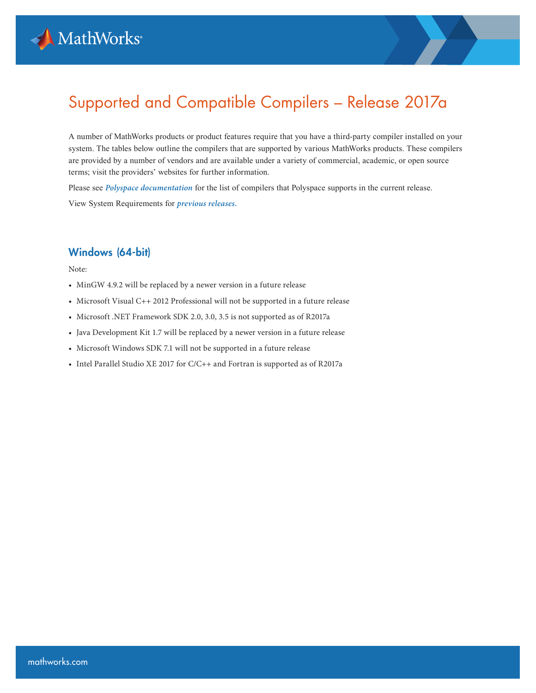

# Supported and Compatible Compilers – Release 2017a

A number of MathWorks products or product features require that you have a third-party compiler installed on your system. The tables below outline the compilers that are supported by various MathWorks products. These compilers are provided by a number of vendors and are available under a variety of commercial, academic, or open source terms; visit the providers' websites for further information.

Please see *[Polyspace documentation](https://www.mathworks.com/help/bugfinder/ref/compilercompiler.html)* for the list of compilers that Polyspace supports in the current release. View System Requirements for *[previous releases.](https://www.mathworks.com/support/sysreq/previous_releases.html)*

#### Windows (64-bit)

Note:

- MinGW 4.9.2 will be replaced by a newer version in a future release
- Microsoft Visual C++ 2012 Professional will not be supported in a future release
- Microsoft .NET Framework SDK 2.0, 3.0, 3.5 is not supported as of R2017a
- Java Development Kit 1.7 will be replaced by a newer version in a future release
- Microsoft Windows SDK 7.1 will not be supported in a future release
- Intel Parallel Studio XE 2017 for C/C++ and Fortran is supported as of R2017a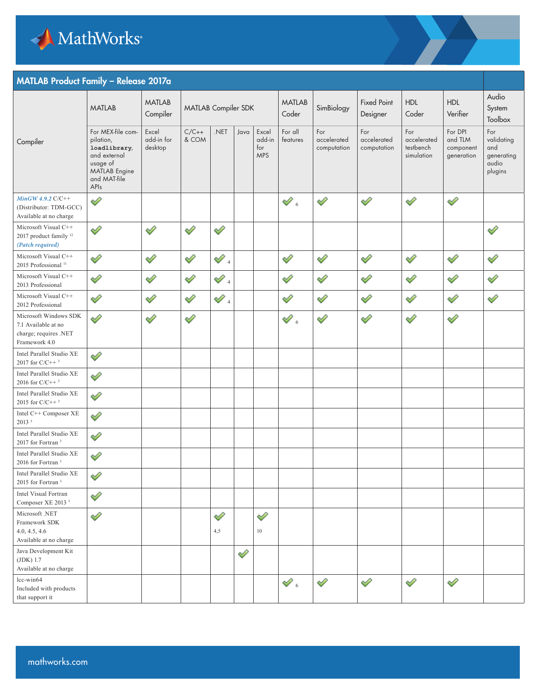

#### MATLAB Product Family – Release 2017a

|                                                                                        | <b>MATLAB</b>                                                                                                              | <b>MATLAB</b><br>Compiler      | MATLAB Compiler SDK |                 |      |                                      | <b>MATLAB</b><br>Coder                | SimBiology                        | <b>Fixed Point</b><br>Designer    | <b>HDL</b><br>Coder                           | <b>HDL</b><br>Verifier                        | Audio<br>System<br>Toolbox                                 |
|----------------------------------------------------------------------------------------|----------------------------------------------------------------------------------------------------------------------------|--------------------------------|---------------------|-----------------|------|--------------------------------------|---------------------------------------|-----------------------------------|-----------------------------------|-----------------------------------------------|-----------------------------------------------|------------------------------------------------------------|
| Compiler                                                                               | For MEX-file com-<br>pilation,<br>loadlibrary,<br>and external<br>usage of<br><b>MATLAB</b> Engine<br>and MAT-file<br>APIs | Excel<br>add-in for<br>desktop | $C/C++$<br>& COM    | .NET            | Java | Excel<br>add-in<br>for<br><b>MPS</b> | For all<br>features                   | For<br>accelerated<br>computation | For<br>accelerated<br>computation | For<br>accelerated<br>testbench<br>simulation | For DPI<br>and TLM<br>component<br>generation | For<br>validating<br>and<br>generating<br>audio<br>plugins |
| $MinGW$ 4.9.2 $C/C++$<br>(Distributor: TDM-GCC)<br>Available at no charge              | ◇                                                                                                                          |                                |                     |                 |      |                                      | $\mathcal{O}_6$                       | Í                                 | ♦                                 | ⇙                                             | ♦                                             |                                                            |
| Microsoft Visual C++<br>2017 product family <sup>12</sup><br>(Patch required)          | ♦                                                                                                                          | ♦                              | $\mathscr{D}$       | ♦               |      |                                      |                                       |                                   |                                   |                                               |                                               | $\mathscr{D}$                                              |
| Microsoft Visual C++<br>2015 Professional <sup>11</sup>                                | ⇙                                                                                                                          | ♦                              | ♦                   | $\mathscr{O}_4$ |      |                                      | ⇙                                     | Í                                 | ♦                                 | ♦                                             | ♦                                             | Í                                                          |
| Microsoft Visual C++<br>2013 Professional                                              | ♦                                                                                                                          | ♦                              | V                   | $\mathscr{O}_4$ |      |                                      | Í                                     | $\mathscr{D}$                     | ♦                                 | ♦                                             | ♦                                             | ♦                                                          |
| Microsoft Visual C++<br>2012 Professional                                              | ♦                                                                                                                          | ♦                              | V                   | $\mathscr{D}_4$ |      |                                      | ♦                                     | $\mathscr{D}$                     | ♦                                 | ♦                                             | ♦                                             | ♦                                                          |
| Microsoft Windows SDK<br>7.1 Available at no<br>charge; requires .NET<br>Framework 4.0 | ⇙                                                                                                                          | ♦                              | Í                   |                 |      |                                      | $\mathscr{D}$ 6                       | ♦                                 | Í                                 | Î                                             | Í                                             |                                                            |
| Intel Parallel Studio XE<br>2017 for $C/C++3$                                          | ♦                                                                                                                          |                                |                     |                 |      |                                      |                                       |                                   |                                   |                                               |                                               |                                                            |
| Intel Parallel Studio XE<br>2016 for $C/C++3$                                          | ♦                                                                                                                          |                                |                     |                 |      |                                      |                                       |                                   |                                   |                                               |                                               |                                                            |
| Intel Parallel Studio XE<br>2015 for $C/C++3$                                          | ⇙                                                                                                                          |                                |                     |                 |      |                                      |                                       |                                   |                                   |                                               |                                               |                                                            |
| Intel C++ Composer XE<br>2013 <sup>3</sup>                                             | Î                                                                                                                          |                                |                     |                 |      |                                      |                                       |                                   |                                   |                                               |                                               |                                                            |
| Intel Parallel Studio XE<br>2017 for Fortran <sup>3</sup>                              | ♦                                                                                                                          |                                |                     |                 |      |                                      |                                       |                                   |                                   |                                               |                                               |                                                            |
| Intel Parallel Studio XE<br>2016 for Fortran <sup>3</sup>                              | ♦                                                                                                                          |                                |                     |                 |      |                                      |                                       |                                   |                                   |                                               |                                               |                                                            |
| Intel Parallel Studio XE<br>2015 for Fortran <sup>3</sup>                              | $\mathscr{D}$                                                                                                              |                                |                     |                 |      |                                      |                                       |                                   |                                   |                                               |                                               |                                                            |
| Intel Visual Fortran<br>Composer XE 2013 <sup>3</sup>                                  | ♦                                                                                                                          |                                |                     |                 |      |                                      |                                       |                                   |                                   |                                               |                                               |                                                            |
| Microsoft .NET<br>Framework SDK<br>4.0, 4.5, 4.6<br>Available at no charge             | ♦                                                                                                                          |                                |                     | ♦<br>4,5        |      | $\mathscr{D}$<br>$10\,$              |                                       |                                   |                                   |                                               |                                               |                                                            |
| Java Development Kit<br>(JDK) 1.7<br>Available at no charge                            |                                                                                                                            |                                |                     |                 | ♦    |                                      |                                       |                                   |                                   |                                               |                                               |                                                            |
| lcc-win64<br>Included with products<br>that support it                                 |                                                                                                                            |                                |                     |                 |      |                                      | $\mathscr{D}_{\scriptscriptstyle{6}}$ | ♦                                 | Í                                 | Í                                             | ♦                                             |                                                            |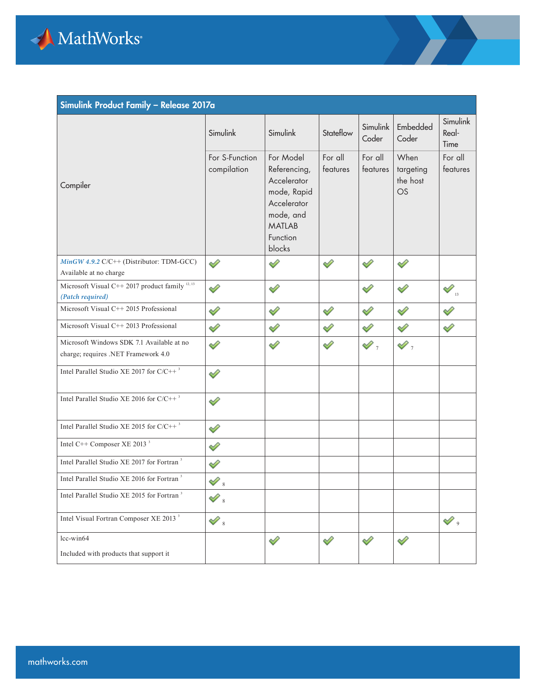

| Simulink Product Family - Release 2017a                                          |                               |                                                                                                                            |                     |                      |                                     |                            |  |  |
|----------------------------------------------------------------------------------|-------------------------------|----------------------------------------------------------------------------------------------------------------------------|---------------------|----------------------|-------------------------------------|----------------------------|--|--|
|                                                                                  | Simulink                      | Simulink                                                                                                                   | Stateflow           | Simulink<br>Coder    | Embedded<br>Coder                   | Simulink<br>Real-<br>Time  |  |  |
| Compiler                                                                         | For S-Function<br>compilation | For Model<br>Referencing,<br>Accelerator<br>mode, Rapid<br>Accelerator<br>mode, and<br><b>MATLAB</b><br>Function<br>blocks | For all<br>features | For all<br>features  | When<br>targeting<br>the host<br>OS | For all<br>features        |  |  |
| MinGW 4.9.2 C/C++ (Distributor: TDM-GCC)<br>Available at no charge               | ⇙                             | ⇙                                                                                                                          | ⇙                   | ✓                    | ୰                                   |                            |  |  |
| Microsoft Visual C++ 2017 product family $^{12, 13}$<br>(Patch required)         | ⇙                             | ♦                                                                                                                          |                     | ♦                    | ୰                                   | $\mathcal{P}_{\mathbf{B}}$ |  |  |
| Microsoft Visual C++ 2015 Professional                                           | ⇙                             | ♦                                                                                                                          | ♦                   | ✅                    | ⇙                                   | ⇙                          |  |  |
| Microsoft Visual C++ 2013 Professional                                           | ✅                             | ♦                                                                                                                          | Í                   | ⇙                    | ⇙                                   | V                          |  |  |
| Microsoft Windows SDK 7.1 Available at no<br>charge; requires .NET Framework 4.0 | ⇙                             | ♦                                                                                                                          | ♦                   | $\mathscr{D}_\gamma$ | $\mathscr{D}_\tau$                  |                            |  |  |
| Intel Parallel Studio XE 2017 for $C/C++^3$                                      | ⇙                             |                                                                                                                            |                     |                      |                                     |                            |  |  |
| Intel Parallel Studio XE 2016 for $C/C++^3$                                      | ◇                             |                                                                                                                            |                     |                      |                                     |                            |  |  |
| Intel Parallel Studio XE 2015 for $C/C++^3$                                      | ♦                             |                                                                                                                            |                     |                      |                                     |                            |  |  |
| Intel C++ Composer XE 2013 <sup>3</sup>                                          | ⇙                             |                                                                                                                            |                     |                      |                                     |                            |  |  |
| Intel Parallel Studio XE 2017 for Fortran <sup>3</sup>                           | ♦                             |                                                                                                                            |                     |                      |                                     |                            |  |  |
| Intel Parallel Studio XE 2016 for Fortran <sup>3</sup>                           | $\mathcal{P}_s$               |                                                                                                                            |                     |                      |                                     |                            |  |  |
| Intel Parallel Studio XE 2015 for Fortran <sup>3</sup>                           | $\mathcal{Q}_s$               |                                                                                                                            |                     |                      |                                     |                            |  |  |
| Intel Visual Fortran Composer XE 2013 <sup>3</sup>                               | $\mathcal{Q}_8$               |                                                                                                                            |                     |                      |                                     | $\mathscr{O}$ ,            |  |  |
| lcc-win64                                                                        |                               | ♦                                                                                                                          | ♦                   | V                    | ✓                                   |                            |  |  |
| Included with products that support it                                           |                               |                                                                                                                            |                     |                      |                                     |                            |  |  |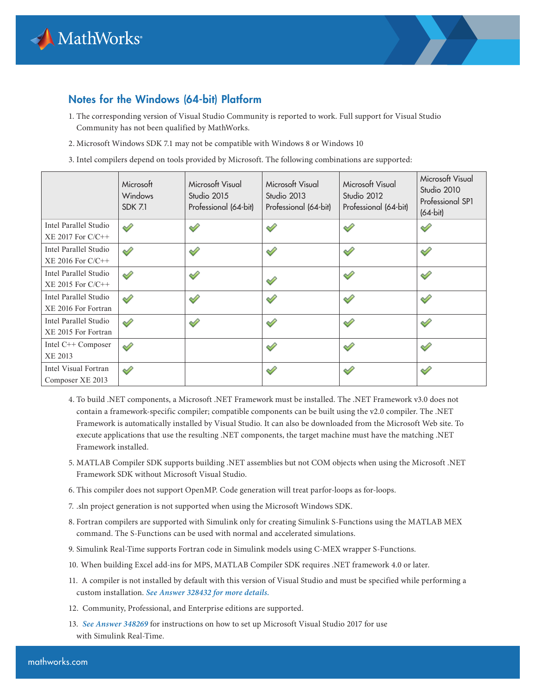

### Notes for the Windows (64-bit) Platform

- 1. The corresponding version of Visual Studio Community is reported to work. Full support for Visual Studio Community has not been qualified by MathWorks.
- 2. Microsoft Windows SDK 7.1 may not be compatible with Windows 8 or Windows 10
- 3. Intel compilers depend on tools provided by Microsoft. The following combinations are supported:

|                                                                         | Microsoft<br>Windows<br><b>SDK 7.1</b> | Microsoft Visual<br>Studio 2015<br>Professional (64-bit) | Microsoft Visual<br>Studio 2013<br>Professional (64-bit) | Microsoft Visual<br>Studio 2012<br>Professional (64-bit) | Microsoft Visual<br>Studio 2010<br>Professional SP1<br>$(64-bit)$ |
|-------------------------------------------------------------------------|----------------------------------------|----------------------------------------------------------|----------------------------------------------------------|----------------------------------------------------------|-------------------------------------------------------------------|
| Intel Parallel Studio                                                   | ⇙                                      | ✅                                                        | ⇙                                                        | ⇙                                                        | ⇙                                                                 |
| $XE$ 2017 For $C/C++$<br>Intel Parallel Studio<br>$XE$ 2016 For $C/C++$ | ⇙                                      | ⇙                                                        | ⇙                                                        | ⇙                                                        | ⇙                                                                 |
| Intel Parallel Studio<br>$XE$ 2015 For $C/C++$                          | ⇙                                      | ⇙                                                        | ⇙                                                        | ⇙                                                        | ⇙                                                                 |
| Intel Parallel Studio<br>XE 2016 For Fortran                            | ⇙                                      | ⇙                                                        | ⇙                                                        | ⇙                                                        | ⇙                                                                 |
| Intel Parallel Studio<br>XE 2015 For Fortran                            | ⇙                                      | ⇙                                                        | ⇙                                                        | ✅                                                        | ⇙                                                                 |
| Intel C++ Composer<br>XE 2013                                           | ◇                                      |                                                          | ୰                                                        | ⇙                                                        | ⇙                                                                 |
| Intel Visual Fortran<br>Composer XE 2013                                | ୰                                      |                                                          | ୰                                                        | ⇙                                                        | ♦                                                                 |

- 4. To build .NET components, a Microsoft .NET Framework must be installed. The .NET Framework v3.0 does not contain a framework-specific compiler; compatible components can be built using the v2.0 compiler. The .NET Framework is automatically installed by Visual Studio. It can also be downloaded from the Microsoft Web site. To execute applications that use the resulting .NET components, the target machine must have the matching .NET Framework installed.
- 5. MATLAB Compiler SDK supports building .NET assemblies but not COM objects when using the Microsoft .NET Framework SDK without Microsoft Visual Studio.
- 6. This compiler does not support OpenMP. Code generation will treat parfor-loops as for-loops.
- 7. .sln project generation is not supported when using the Microsoft Windows SDK.
- 8. Fortran compilers are supported with Simulink only for creating Simulink S-Functions using the MATLAB MEX command. The S-Functions can be used with normal and accelerated simulations.
- 9. Simulink Real-Time supports Fortran code in Simulink models using C-MEX wrapper S-Functions.
- 10. When building Excel add-ins for MPS, MATLAB Compiler SDK requires .NET framework 4.0 or later.
- 11. A compiler is not installed by default with this version of Visual Studio and must be specified while performing a custom installation. *[See Answer 328432 for more details.](https://www.mathworks.com/matlabcentral/answers/328432-why-is-matlab-unable-to-find-the-microsoft-visual-c-2015-compiler-after-installing-microsoft-visua)*
- 12. Community, Professional, and Enterprise editions are supported.
- 13. *[See Answer 348269](https://www.mathworks.com/matlabcentral/answers/348269)* for instructions on how to set up Microsoft Visual Studio 2017 for use with Simulink Real-Time.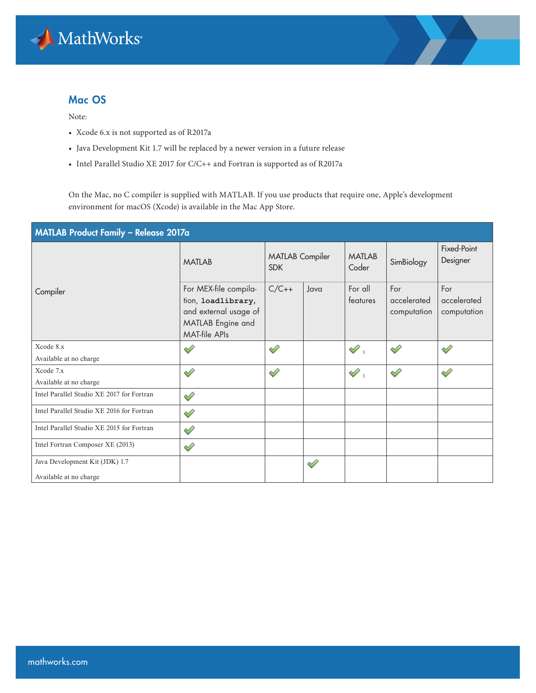

#### Mac OS

Note:

- Xcode 6.x is not supported as of R2017a
- Java Development Kit 1.7 will be replaced by a newer version in a future release
- Intel Parallel Studio XE 2017 for C/C++ and Fortran is supported as of R2017a

On the Mac, no C compiler is supplied with MATLAB. If you use products that require one, Apple's development environment for macOS (Xcode) is available in the Mac App Store.

| MATLAB Product Family - Release 2017a     |                                                                                                                   |                                      |      |                        |                                   |                                   |  |  |
|-------------------------------------------|-------------------------------------------------------------------------------------------------------------------|--------------------------------------|------|------------------------|-----------------------------------|-----------------------------------|--|--|
|                                           | <b>MATLAB</b>                                                                                                     | <b>MATLAB</b> Compiler<br><b>SDK</b> |      | <b>MATLAB</b><br>Coder | SimBiology                        | Fixed-Point<br>Designer           |  |  |
| Compiler                                  | For MEX-file compila-<br>tion, loadlibrary,<br>and external usage of<br>MATLAB Engine and<br><b>MAT-file APIs</b> | $C/C++$                              | Java | For all<br>features    | For<br>accelerated<br>computation | For<br>accelerated<br>computation |  |  |
| Xcode 8.x                                 | $\mathscr{S}$                                                                                                     | ୰                                    |      | $\mathscr{D}_1$        | ✅                                 | ◇                                 |  |  |
| Available at no charge                    |                                                                                                                   |                                      |      |                        |                                   |                                   |  |  |
| Xcode 7.x                                 | ♦                                                                                                                 | ⇙                                    |      | $\mathscr{S}$ .        | D                                 | ◇                                 |  |  |
| Available at no charge                    |                                                                                                                   |                                      |      |                        |                                   |                                   |  |  |
| Intel Parallel Studio XE 2017 for Fortran | ♦                                                                                                                 |                                      |      |                        |                                   |                                   |  |  |
| Intel Parallel Studio XE 2016 for Fortran | ✅                                                                                                                 |                                      |      |                        |                                   |                                   |  |  |
| Intel Parallel Studio XE 2015 for Fortran | ♦                                                                                                                 |                                      |      |                        |                                   |                                   |  |  |
| Intel Fortran Composer XE (2013)          | ♦                                                                                                                 |                                      |      |                        |                                   |                                   |  |  |
| Java Development Kit (JDK) 1.7            |                                                                                                                   |                                      | ⇙    |                        |                                   |                                   |  |  |
| Available at no charge                    |                                                                                                                   |                                      |      |                        |                                   |                                   |  |  |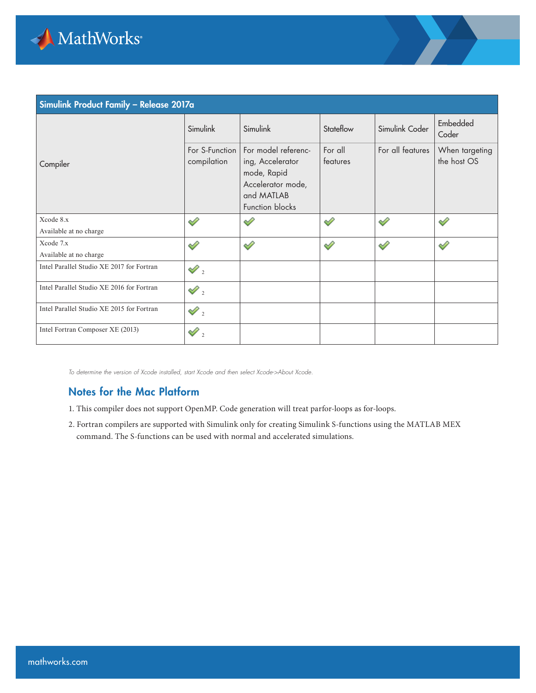

| Simulink Product Family - Release 2017a   |                               |                                                                                                              |                     |                  |                               |  |  |  |  |
|-------------------------------------------|-------------------------------|--------------------------------------------------------------------------------------------------------------|---------------------|------------------|-------------------------------|--|--|--|--|
|                                           | Simulink                      | Simulink                                                                                                     | Stateflow           | Simulink Coder   | Embedded<br>Coder             |  |  |  |  |
| Compiler                                  | For S-Function<br>compilation | For model referenc-<br>ing, Accelerator<br>mode, Rapid<br>Accelerator mode,<br>and MATLAB<br>Function blocks | For all<br>features | For all features | When targeting<br>the host OS |  |  |  |  |
| Xcode 8.x                                 | ୰                             | ⇙                                                                                                            | D                   | ⇙                | ⇙                             |  |  |  |  |
| Available at no charge                    |                               |                                                                                                              |                     |                  |                               |  |  |  |  |
| Xcode 7.x                                 | ৶                             | ୰                                                                                                            | ⇙                   | ⇙                | ⇙                             |  |  |  |  |
| Available at no charge                    |                               |                                                                                                              |                     |                  |                               |  |  |  |  |
| Intel Parallel Studio XE 2017 for Fortran | $\mathscr{D}_2$               |                                                                                                              |                     |                  |                               |  |  |  |  |
| Intel Parallel Studio XE 2016 for Fortran | $\mathscr{D}_2$               |                                                                                                              |                     |                  |                               |  |  |  |  |
| Intel Parallel Studio XE 2015 for Fortran | $\mathscr{D}_2$               |                                                                                                              |                     |                  |                               |  |  |  |  |
| Intel Fortran Composer XE (2013)          | $\mathcal{P}_2$               |                                                                                                              |                     |                  |                               |  |  |  |  |

*To determine the version of Xcode installed, start Xcode and then select Xcode->About Xcode.*

#### Notes for the Mac Platform

- 1. This compiler does not support OpenMP. Code generation will treat parfor-loops as for-loops.
- 2. Fortran compilers are supported with Simulink only for creating Simulink S-functions using the MATLAB MEX command. The S-functions can be used with normal and accelerated simulations.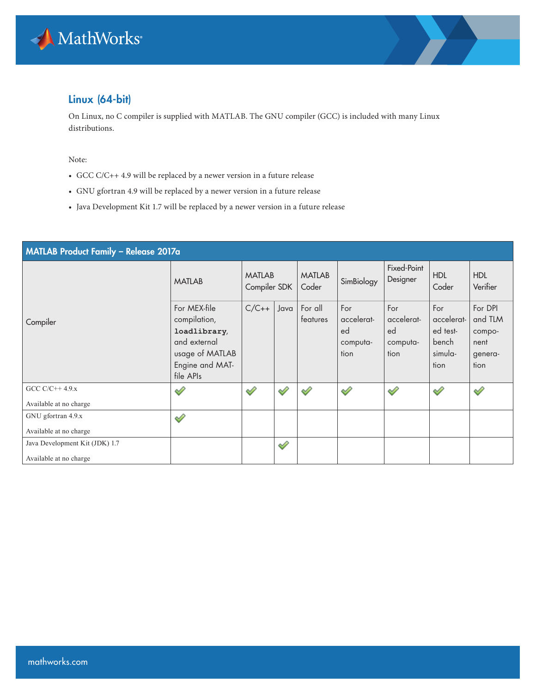



# Linux (64-bit)

On Linux, no C compiler is supplied with MATLAB. The GNU compiler (GCC) is included with many Linux distributions.

Note:

- GCC C/C++ 4.9 will be replaced by a newer version in a future release
- GNU gfortran 4.9 will be replaced by a newer version in a future release
- Java Development Kit 1.7 will be replaced by a newer version in a future release

| MATLAB Product Family - Release 2017a     |                                                                                                                 |                               |      |                        |                                             |                                             |                                                           |                                                         |  |  |
|-------------------------------------------|-----------------------------------------------------------------------------------------------------------------|-------------------------------|------|------------------------|---------------------------------------------|---------------------------------------------|-----------------------------------------------------------|---------------------------------------------------------|--|--|
|                                           | <b>MATLAB</b>                                                                                                   | <b>MATLAB</b><br>Compiler SDK |      | <b>MATLAB</b><br>Coder | SimBiology                                  | Fixed-Point<br>Designer                     | <b>HDL</b><br>Coder                                       | <b>HDL</b><br>Verifier                                  |  |  |
| Compiler                                  | For MEX-file<br>compilation,<br>loadlibrary,<br>and external<br>usage of MATLAB<br>Engine and MAT-<br>file APIs | $C/C++$                       | Java | For all<br>features    | For<br>accelerat-<br>ed<br>computa-<br>tion | For<br>accelerat-<br>ed<br>computa-<br>tion | For<br>accelerat-<br>ed test-<br>bench<br>simula-<br>tion | For DPI<br>and TLM<br>compo-<br>nent<br>genera-<br>tion |  |  |
| GCC $C/C++4.9x$<br>Available at no charge | ⇙                                                                                                               | ⇙                             | ⇙    | ⇙                      | $\mathscr{D}$                               | ♦                                           | ♦                                                         | ♦                                                       |  |  |
| GNU gfortran 4.9.x                        |                                                                                                                 |                               |      |                        |                                             |                                             |                                                           |                                                         |  |  |
| Available at no charge                    | ♦                                                                                                               |                               |      |                        |                                             |                                             |                                                           |                                                         |  |  |
| Java Development Kit (JDK) 1.7            |                                                                                                                 |                               | Í    |                        |                                             |                                             |                                                           |                                                         |  |  |
| Available at no charge                    |                                                                                                                 |                               |      |                        |                                             |                                             |                                                           |                                                         |  |  |